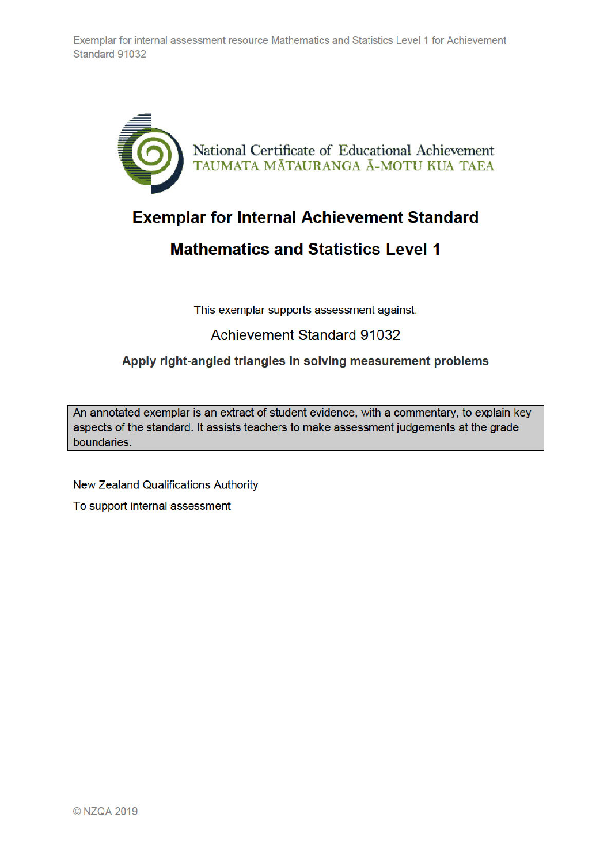

## **Exemplar for Internal Achievement Standard**

## **Mathematics and Statistics Level 1**

This exemplar supports assessment against:

## **Achievement Standard 91032**

## Apply right-angled triangles in solving measurement problems

An annotated exemplar is an extract of student evidence, with a commentary, to explain key aspects of the standard. It assists teachers to make assessment judgements at the grade boundaries.

**New Zealand Qualifications Authority** 

To support internal assessment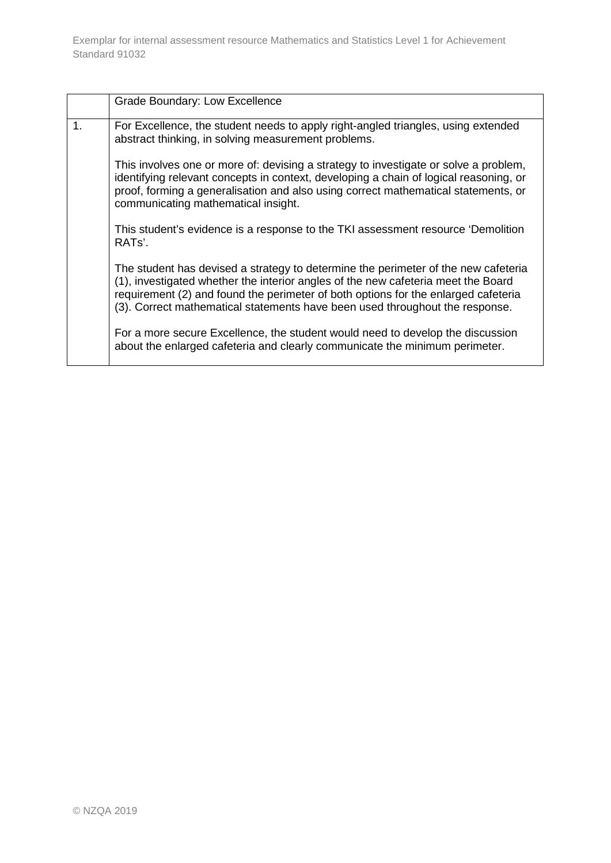|    | Grade Boundary: Low Excellence                                                                                                                                                                                                                                                                                                                |
|----|-----------------------------------------------------------------------------------------------------------------------------------------------------------------------------------------------------------------------------------------------------------------------------------------------------------------------------------------------|
| 1. | For Excellence, the student needs to apply right-angled triangles, using extended<br>abstract thinking, in solving measurement problems.                                                                                                                                                                                                      |
|    | This involves one or more of: devising a strategy to investigate or solve a problem,<br>identifying relevant concepts in context, developing a chain of logical reasoning, or<br>proof, forming a generalisation and also using correct mathematical statements, or<br>communicating mathematical insight.                                    |
|    | This student's evidence is a response to the TKI assessment resource 'Demolition<br>RAT <sub>s</sub> '.                                                                                                                                                                                                                                       |
|    | The student has devised a strategy to determine the perimeter of the new cafeteria<br>(1), investigated whether the interior angles of the new cafeteria meet the Board<br>requirement (2) and found the perimeter of both options for the enlarged cafeteria<br>(3). Correct mathematical statements have been used throughout the response. |
|    | For a more secure Excellence, the student would need to develop the discussion<br>about the enlarged cafeteria and clearly communicate the minimum perimeter.                                                                                                                                                                                 |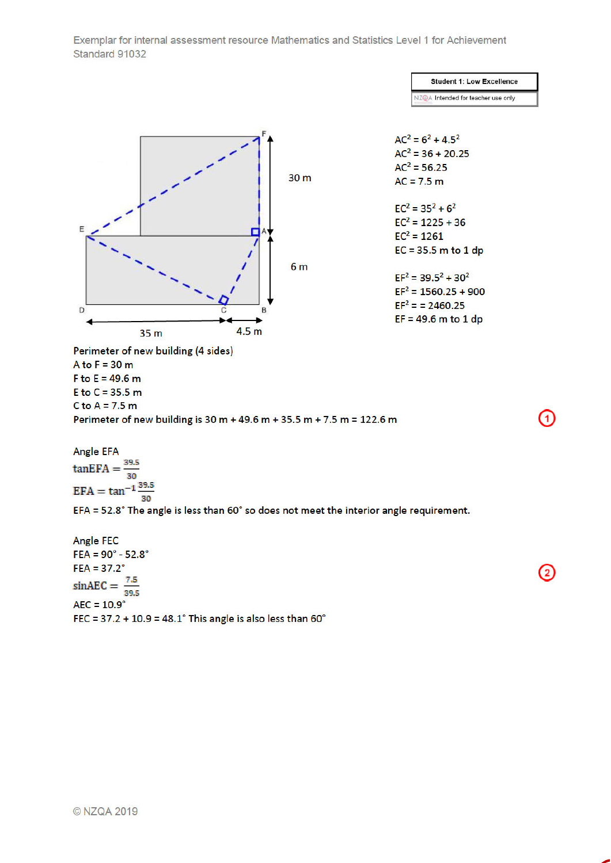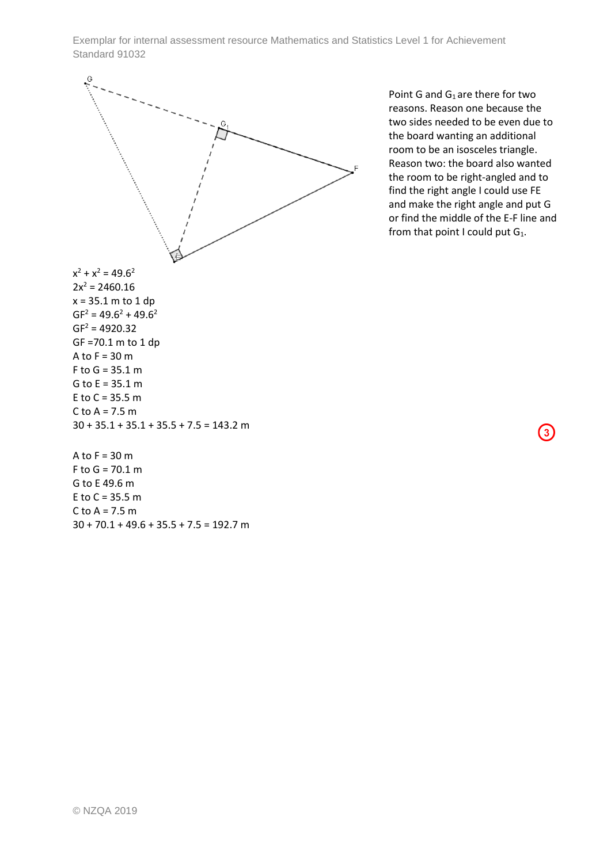

Point G and  $G_1$  are there for two reasons. Reason one because the two sides needed to be even due to the board wanting an additional room to be an isosceles triangle. Reason two: the board also wanted the room to be right-angled and to find the right angle I could use FE and make the right angle and put G or find the middle of the E-F line and from that point I could put  $G_1$ .

 $\bf(3)$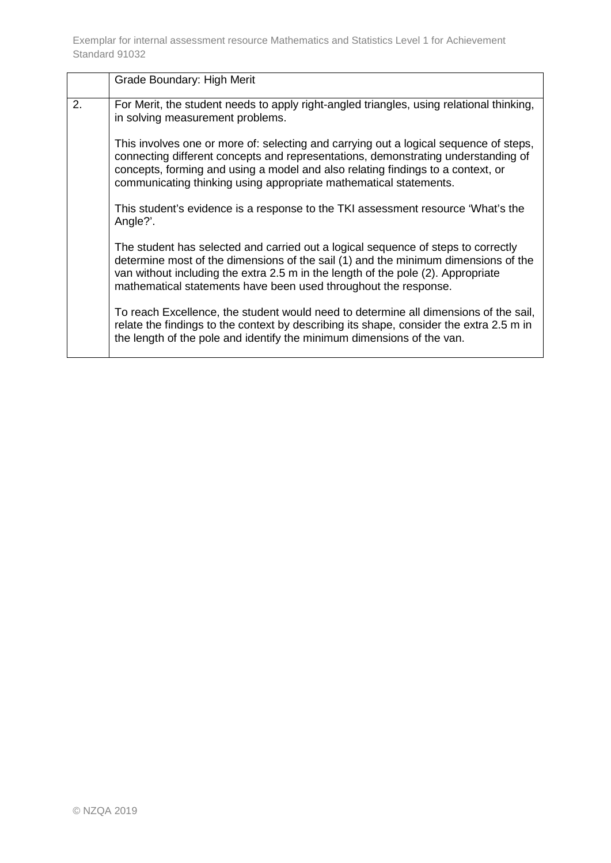|    | Grade Boundary: High Merit                                                                                                                                                                                                                                                                                                         |
|----|------------------------------------------------------------------------------------------------------------------------------------------------------------------------------------------------------------------------------------------------------------------------------------------------------------------------------------|
| 2. | For Merit, the student needs to apply right-angled triangles, using relational thinking,<br>in solving measurement problems.                                                                                                                                                                                                       |
|    | This involves one or more of: selecting and carrying out a logical sequence of steps,<br>connecting different concepts and representations, demonstrating understanding of<br>concepts, forming and using a model and also relating findings to a context, or<br>communicating thinking using appropriate mathematical statements. |
|    | This student's evidence is a response to the TKI assessment resource 'What's the<br>Angle?'.                                                                                                                                                                                                                                       |
|    | The student has selected and carried out a logical sequence of steps to correctly<br>determine most of the dimensions of the sail (1) and the minimum dimensions of the<br>van without including the extra 2.5 m in the length of the pole (2). Appropriate<br>mathematical statements have been used throughout the response.     |
|    | To reach Excellence, the student would need to determine all dimensions of the sail,<br>relate the findings to the context by describing its shape, consider the extra 2.5 m in<br>the length of the pole and identify the minimum dimensions of the van.                                                                          |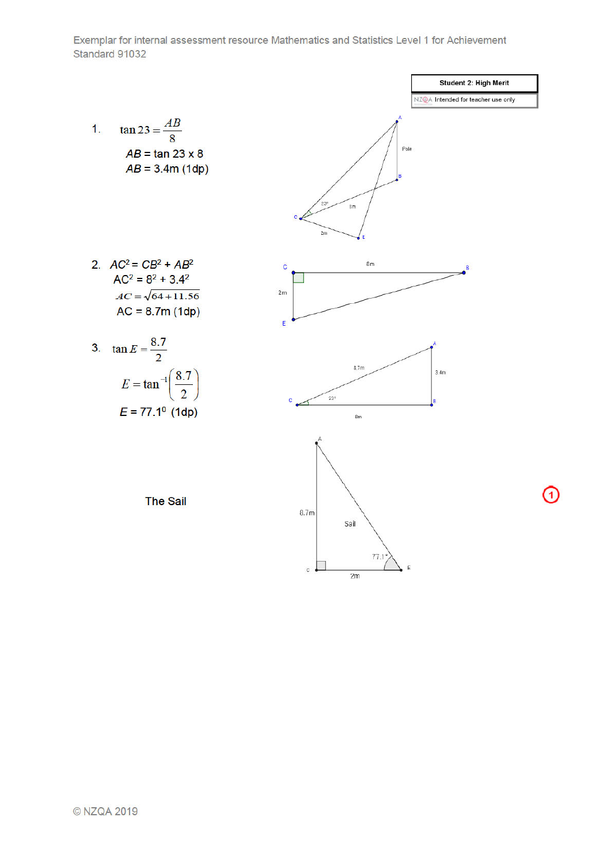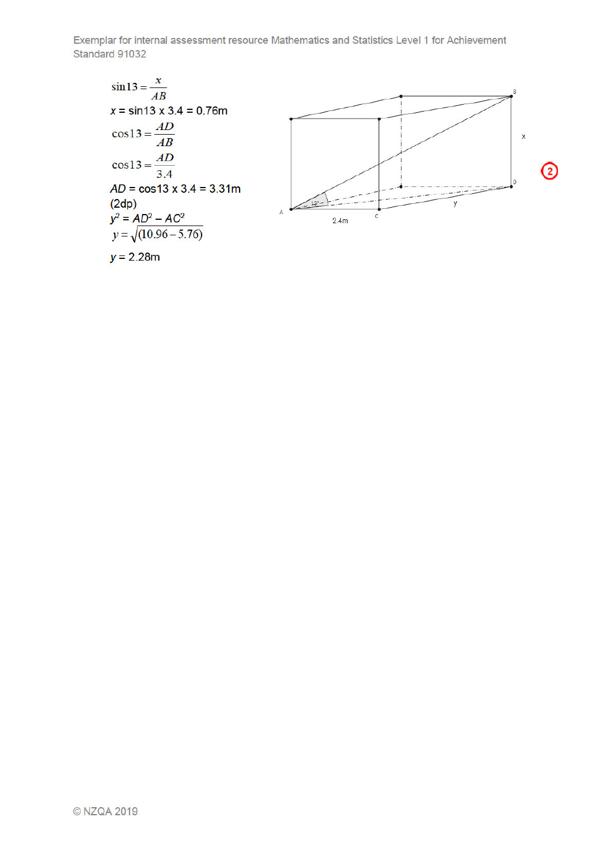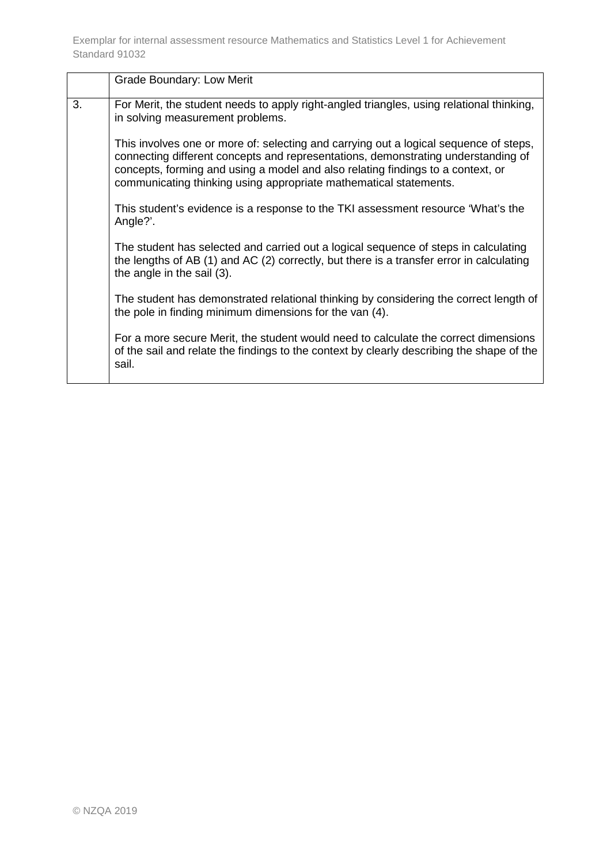|    | Grade Boundary: Low Merit                                                                                                                                                                                                                                                                                                          |
|----|------------------------------------------------------------------------------------------------------------------------------------------------------------------------------------------------------------------------------------------------------------------------------------------------------------------------------------|
| 3. | For Merit, the student needs to apply right-angled triangles, using relational thinking,<br>in solving measurement problems.                                                                                                                                                                                                       |
|    | This involves one or more of: selecting and carrying out a logical sequence of steps,<br>connecting different concepts and representations, demonstrating understanding of<br>concepts, forming and using a model and also relating findings to a context, or<br>communicating thinking using appropriate mathematical statements. |
|    | This student's evidence is a response to the TKI assessment resource 'What's the<br>Angle?'.                                                                                                                                                                                                                                       |
|    | The student has selected and carried out a logical sequence of steps in calculating<br>the lengths of AB (1) and AC (2) correctly, but there is a transfer error in calculating<br>the angle in the sail (3).                                                                                                                      |
|    | The student has demonstrated relational thinking by considering the correct length of<br>the pole in finding minimum dimensions for the van (4).                                                                                                                                                                                   |
|    | For a more secure Merit, the student would need to calculate the correct dimensions<br>of the sail and relate the findings to the context by clearly describing the shape of the<br>sail.                                                                                                                                          |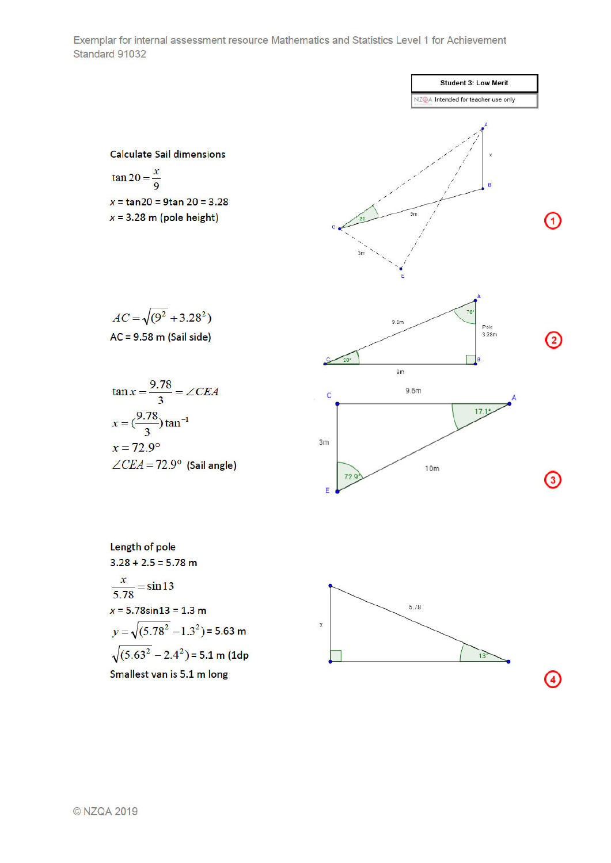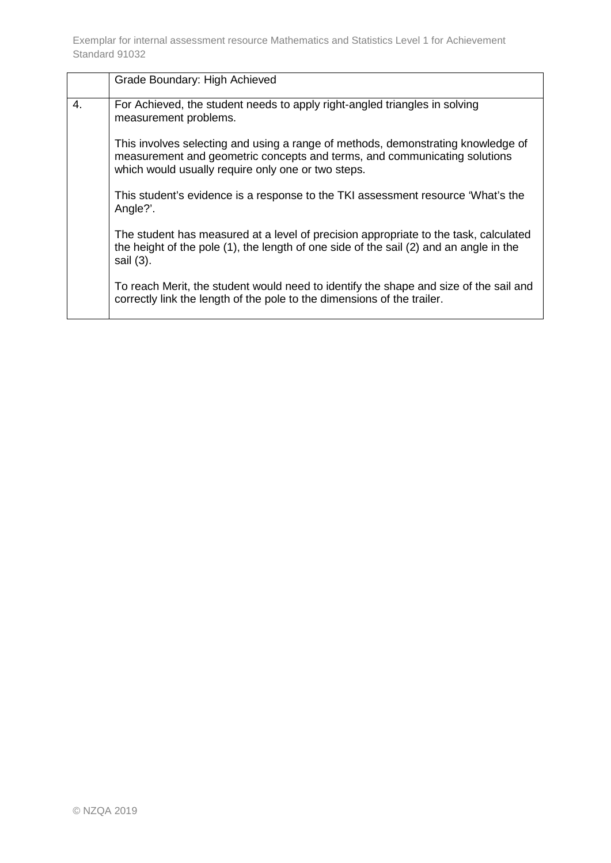|    | Grade Boundary: High Achieved                                                                                                                                                                                       |
|----|---------------------------------------------------------------------------------------------------------------------------------------------------------------------------------------------------------------------|
| 4. | For Achieved, the student needs to apply right-angled triangles in solving<br>measurement problems.                                                                                                                 |
|    | This involves selecting and using a range of methods, demonstrating knowledge of<br>measurement and geometric concepts and terms, and communicating solutions<br>which would usually require only one or two steps. |
|    | This student's evidence is a response to the TKI assessment resource 'What's the<br>Angle?'.                                                                                                                        |
|    | The student has measured at a level of precision appropriate to the task, calculated<br>the height of the pole (1), the length of one side of the sail (2) and an angle in the<br>sail (3).                         |
|    | To reach Merit, the student would need to identify the shape and size of the sail and<br>correctly link the length of the pole to the dimensions of the trailer.                                                    |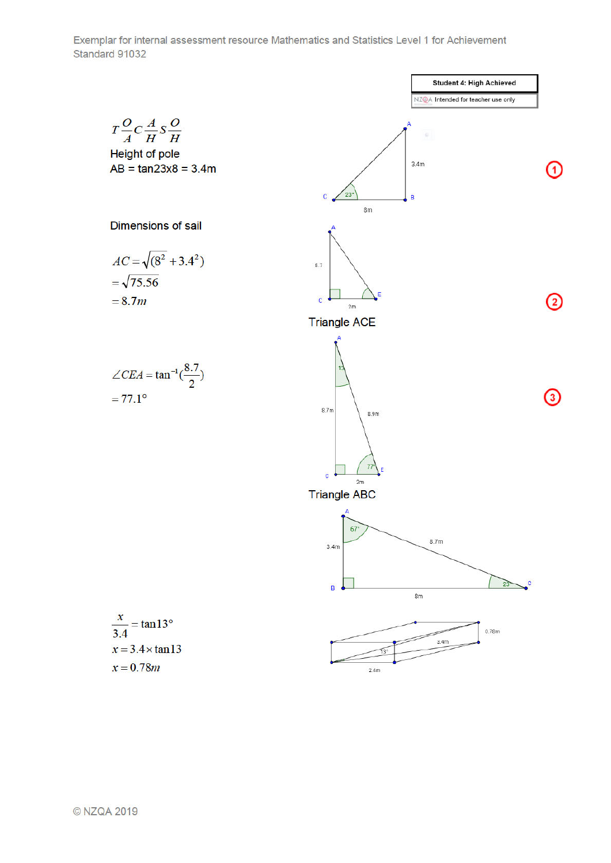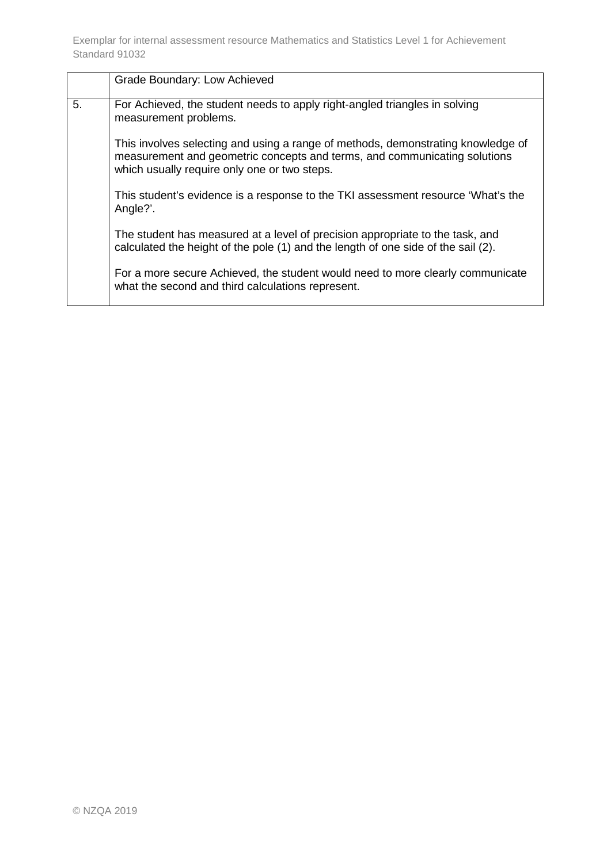|    | Grade Boundary: Low Achieved                                                                                                                                                                                  |
|----|---------------------------------------------------------------------------------------------------------------------------------------------------------------------------------------------------------------|
| 5. | For Achieved, the student needs to apply right-angled triangles in solving<br>measurement problems.                                                                                                           |
|    | This involves selecting and using a range of methods, demonstrating knowledge of<br>measurement and geometric concepts and terms, and communicating solutions<br>which usually require only one or two steps. |
|    | This student's evidence is a response to the TKI assessment resource 'What's the<br>Angle?'.                                                                                                                  |
|    | The student has measured at a level of precision appropriate to the task, and<br>calculated the height of the pole (1) and the length of one side of the sail (2).                                            |
|    | For a more secure Achieved, the student would need to more clearly communicate<br>what the second and third calculations represent.                                                                           |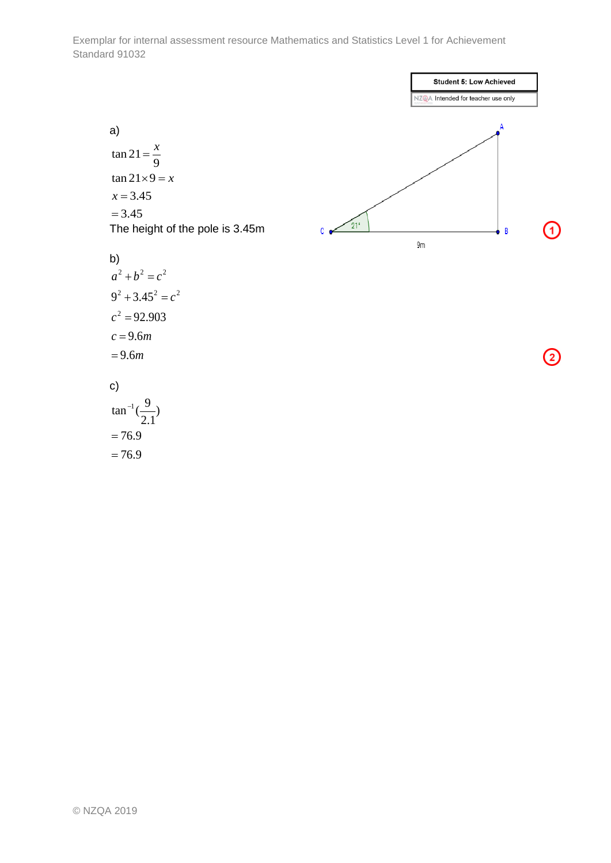

c)  

$$
\tan^{-1}\left(\frac{9}{2.1}\right)
$$

$$
=76.9
$$

)

 $= 76.9$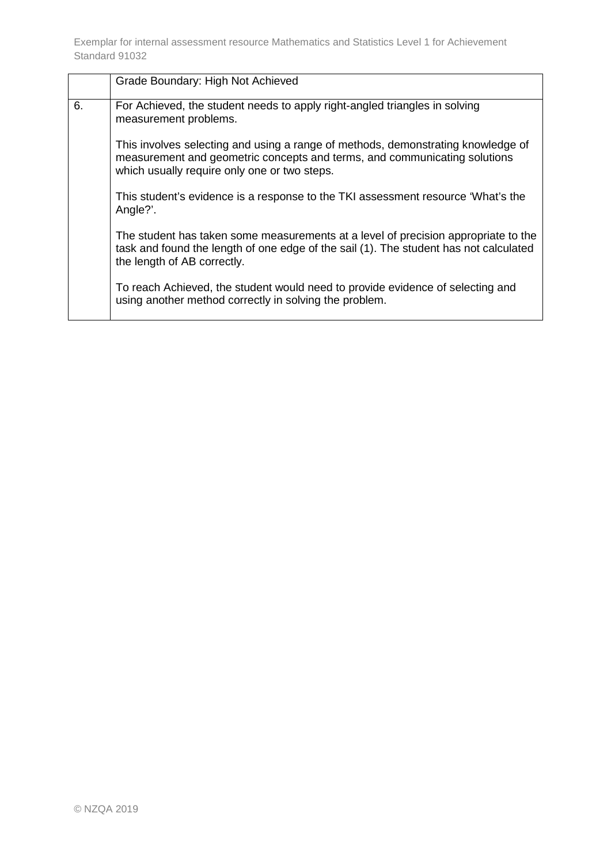|    | Grade Boundary: High Not Achieved                                                                                                                                                                             |
|----|---------------------------------------------------------------------------------------------------------------------------------------------------------------------------------------------------------------|
| 6. | For Achieved, the student needs to apply right-angled triangles in solving<br>measurement problems.                                                                                                           |
|    | This involves selecting and using a range of methods, demonstrating knowledge of<br>measurement and geometric concepts and terms, and communicating solutions<br>which usually require only one or two steps. |
|    | This student's evidence is a response to the TKI assessment resource 'What's the<br>Angle?'.                                                                                                                  |
|    | The student has taken some measurements at a level of precision appropriate to the<br>task and found the length of one edge of the sail (1). The student has not calculated<br>the length of AB correctly.    |
|    | To reach Achieved, the student would need to provide evidence of selecting and<br>using another method correctly in solving the problem.                                                                      |